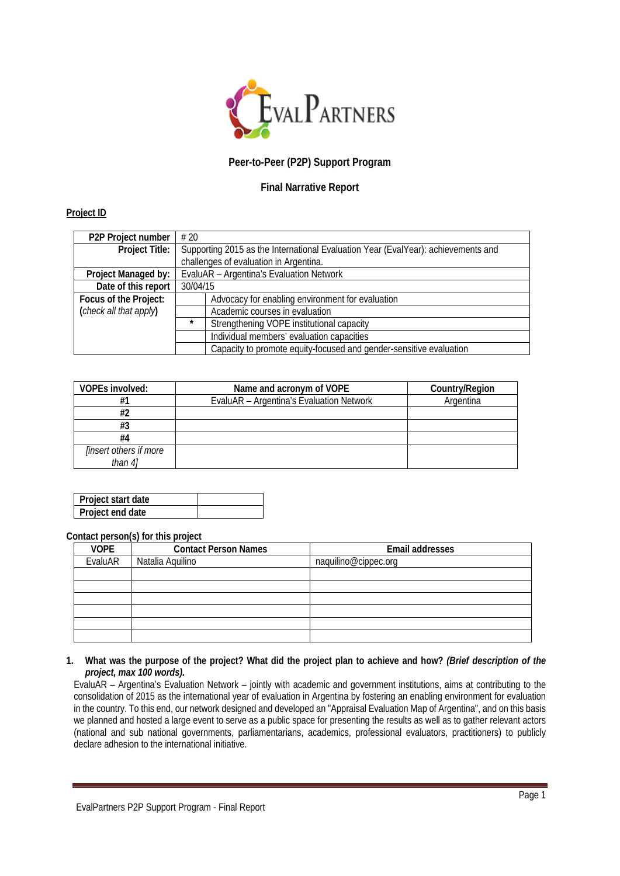

# **Peer-to-Peer (P2P) Support Program**

## **Final Narrative Report**

## **Project ID**

| P <sub>2</sub> P Project number | #20                                                                               |  |  |
|---------------------------------|-----------------------------------------------------------------------------------|--|--|
| Project Title:                  | Supporting 2015 as the International Evaluation Year (EvalYear): achievements and |  |  |
|                                 | challenges of evaluation in Argentina.                                            |  |  |
| Project Managed by:             | EvaluAR - Argentina's Evaluation Network                                          |  |  |
| Date of this report             | 30/04/15                                                                          |  |  |
| Focus of the Project:           | Advocacy for enabling environment for evaluation                                  |  |  |
| (check all that apply)          | Academic courses in evaluation                                                    |  |  |
|                                 | $\star$<br>Strengthening VOPE institutional capacity                              |  |  |
|                                 | Individual members' evaluation capacities                                         |  |  |
|                                 | Capacity to promote equity-focused and gender-sensitive evaluation                |  |  |

| <b>VOPEs involved:</b>        | Name and acronym of VOPE                 | Country/Region |
|-------------------------------|------------------------------------------|----------------|
| #1                            | EvaluAR - Argentina's Evaluation Network | Argentina      |
| #2                            |                                          |                |
| #3                            |                                          |                |
| #4                            |                                          |                |
| <i>linsert others if more</i> |                                          |                |
| than $4$ ]                    |                                          |                |

| l Proiect start date |  |
|----------------------|--|
| Project end date     |  |

#### **Contact person(s) for this project**

| <b>VOPE</b> | <b>Contact Person Names</b> | Email addresses      |
|-------------|-----------------------------|----------------------|
| EvaluAR     | Natalia Aquilino            | naquilino@cippec.org |
|             |                             |                      |
|             |                             |                      |
|             |                             |                      |
|             |                             |                      |
|             |                             |                      |
|             |                             |                      |

## **1. What was the purpose of the project? What did the project plan to achieve and how?** *(Brief description of the project, max 100 words).*

EvaluAR – Argentina's Evaluation Network – jointly with academic and government institutions, aims at contributing to the consolidation of 2015 as the international year of evaluation in Argentina by fostering an enabling environment for evaluation in the country. To this end, our network designed and developed an "Appraisal Evaluation Map of Argentina", and on this basis we planned and hosted a large event to serve as a public space for presenting the results as well as to gather relevant actors (national and sub national governments, parliamentarians, academics, professional evaluators, practitioners) to publicly declare adhesion to the international initiative.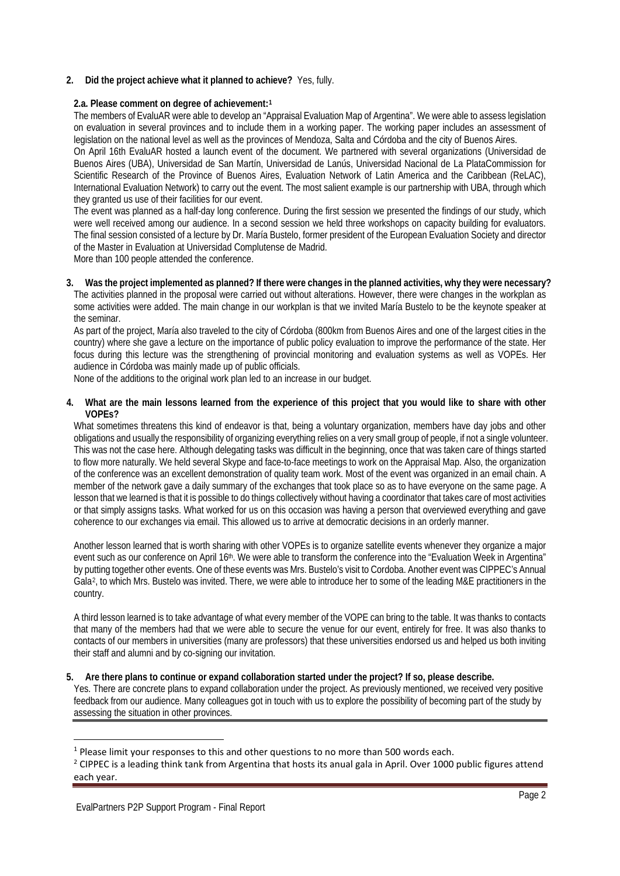## **2. Did the project achieve what it planned to achieve?** Yes, fully.

#### **2.a. Please comment on degree of achievement:[1](#page-1-0)**

The members of EvaluAR were able to develop an "Appraisal Evaluation Map of Argentina". We were able to assess legislation on evaluation in several provinces and to include them in a working paper. The working paper includes an assessment of legislation on the national level as well as the provinces of Mendoza, Salta and Córdoba and the city of Buenos Aires.

On April 16th EvaluAR hosted a launch event of the document. We partnered with several organizations (Universidad de Buenos Aires (UBA), Universidad de San Martín, Universidad de Lanús, Universidad Nacional de La PlataCommission for Scientific Research of the Province of Buenos Aires, Evaluation Network of Latin America and the Caribbean (ReLAC), International Evaluation Network) to carry out the event. The most salient example is our partnership with UBA, through which they granted us use of their facilities for our event.

The event was planned as a half-day long conference. During the first session we presented the findings of our study, which were well received among our audience. In a second session we held three workshops on capacity building for evaluators. The final session consisted of a lecture by Dr. María Bustelo, former president of the European Evaluation Society and director of the Master in Evaluation at Universidad Complutense de Madrid.

More than 100 people attended the conference.

**3. Was the project implemented as planned? If there were changes in the planned activities, why they were necessary?** The activities planned in the proposal were carried out without alterations. However, there were changes in the workplan as some activities were added. The main change in our workplan is that we invited María Bustelo to be the keynote speaker at the seminar.

As part of the project, María also traveled to the city of Córdoba (800km from Buenos Aires and one of the largest cities in the country) where she gave a lecture on the importance of public policy evaluation to improve the performance of the state. Her focus during this lecture was the strengthening of provincial monitoring and evaluation systems as well as VOPEs. Her audience in Córdoba was mainly made up of public officials.

None of the additions to the original work plan led to an increase in our budget.

**4. What are the main lessons learned from the experience of this project that you would like to share with other VOPEs?**

What sometimes threatens this kind of endeavor is that, being a voluntary organization, members have day jobs and other obligations and usually the responsibility of organizing everything relies on a very small group of people, if not a single volunteer. This was not the case here. Although delegating tasks was difficult in the beginning, once that was taken care of things started to flow more naturally. We held several Skype and face-to-face meetings to work on the Appraisal Map. Also, the organization of the conference was an excellent demonstration of quality team work. Most of the event was organized in an email chain. A member of the network gave a daily summary of the exchanges that took place so as to have everyone on the same page. A lesson that we learned is that it is possible to do things collectively without having a coordinator that takes care of most activities or that simply assigns tasks. What worked for us on this occasion was having a person that overviewed everything and gave coherence to our exchanges via email. This allowed us to arrive at democratic decisions in an orderly manner.

Another lesson learned that is worth sharing with other VOPEs is to organize satellite events whenever they organize a major event such as our conference on April 16<sup>th</sup>. We were able to transform the conference into the "Evaluation Week in Argentina" by putting together other events. One of these events was Mrs. Bustelo's visit to Cordoba. Another event was CIPPEC's Annual Gala[2,](#page-1-1) to which Mrs. Bustelo was invited. There, we were able to introduce her to some of the leading M&E practitioners in the country.

A third lesson learned is to take advantage of what every member of the VOPE can bring to the table. It was thanks to contacts that many of the members had that we were able to secure the venue for our event, entirely for free. It was also thanks to contacts of our members in universities (many are professors) that these universities endorsed us and helped us both inviting their staff and alumni and by co-signing our invitation.

#### **5. Are there plans to continue or expand collaboration started under the project? If so, please describe.**

Yes. There are concrete plans to expand collaboration under the project. As previously mentioned, we received very positive feedback from our audience. Many colleagues got in touch with us to explore the possibility of becoming part of the study by assessing the situation in other provinces.

**.** 

<span id="page-1-0"></span><sup>&</sup>lt;sup>1</sup> Please limit your responses to this and other questions to no more than 500 words each.

<span id="page-1-1"></span><sup>&</sup>lt;sup>2</sup> CIPPEC is a leading think tank from Argentina that hosts its anual gala in April. Over 1000 public figures attend each year.